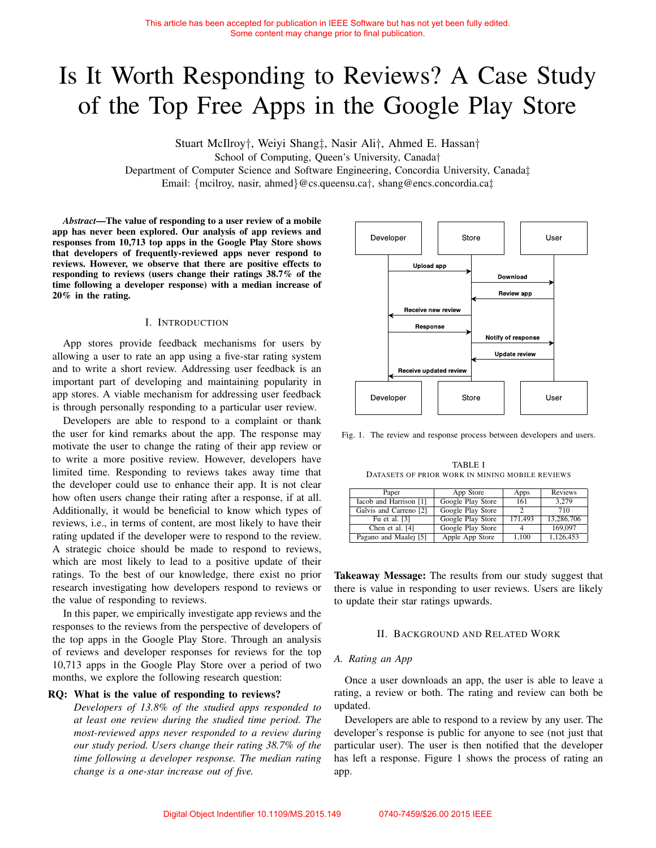# Is It Worth Responding to Reviews? A Case Study of the Top Free Apps in the Google Play Store

Stuart McIlroy†, Weiyi Shang‡, Nasir Ali†, Ahmed E. Hassan† School of Computing, Queen's University, Canada† Department of Computer Science and Software Engineering, Concordia University, Canada‡ Email: {mcilroy, nasir, ahmed}@cs.queensu.ca†, shang@encs.concordia.ca‡

*Abstract*—The value of responding to a user review of a mobile app has never been explored. Our analysis of app reviews and responses from 10,713 top apps in the Google Play Store shows that developers of frequently-reviewed apps never respond to reviews. However, we observe that there are positive effects to responding to reviews (users change their ratings 38.7% of the time following a developer response) with a median increase of 20% in the rating.

#### I. INTRODUCTION

App stores provide feedback mechanisms for users by allowing a user to rate an app using a five-star rating system and to write a short review. Addressing user feedback is an important part of developing and maintaining popularity in app stores. A viable mechanism for addressing user feedback is through personally responding to a particular user review.

Developers are able to respond to a complaint or thank the user for kind remarks about the app. The response may motivate the user to change the rating of their app review or to write a more positive review. However, developers have limited time. Responding to reviews takes away time that the developer could use to enhance their app. It is not clear how often users change their rating after a response, if at all. Additionally, it would be beneficial to know which types of reviews, i.e., in terms of content, are most likely to have their rating updated if the developer were to respond to the review. A strategic choice should be made to respond to reviews, which are most likely to lead to a positive update of their ratings. To the best of our knowledge, there exist no prior research investigating how developers respond to reviews or the value of responding to reviews.

In this paper, we empirically investigate app reviews and the responses to the reviews from the perspective of developers of the top apps in the Google Play Store. Through an analysis of reviews and developer responses for reviews for the top 10,713 apps in the Google Play Store over a period of two months, we explore the following research question:

#### RQ: What is the value of responding to reviews?

*Developers of 13.8% of the studied apps responded to at least one review during the studied time period. The most-reviewed apps never responded to a review during our study period. Users change their rating 38.7% of the time following a developer response. The median rating change is a one-star increase out of five.*



Fig. 1. The review and response process between developers and users.

TABLE I DATASETS OF PRIOR WORK IN MINING MOBILE REVIEWS

| Paper                  | App Store<br>Apps |         | Reviews    |  |
|------------------------|-------------------|---------|------------|--|
| Iacob and Harrison [1] | Google Play Store | 161     | 3.279      |  |
| Galvis and Carreno [2] | Google Play Store |         | 710        |  |
| Fu et al. $[3]$        | Google Play Store | 171.493 | 13,286,706 |  |
| Chen et al. [4]        | Google Play Store |         | 169,097    |  |
| Pagano and Maalej [5]  | Apple App Store   | 1.100   | 1,126,453  |  |

Takeaway Message: The results from our study suggest that there is value in responding to user reviews. Users are likely to update their star ratings upwards.

#### II. BACKGROUND AND RELATED WORK

## *A. Rating an App*

Once a user downloads an app, the user is able to leave a rating, a review or both. The rating and review can both be updated.

Developers are able to respond to a review by any user. The developer's response is public for anyone to see (not just that particular user). The user is then notified that the developer has left a response. Figure 1 shows the process of rating an app.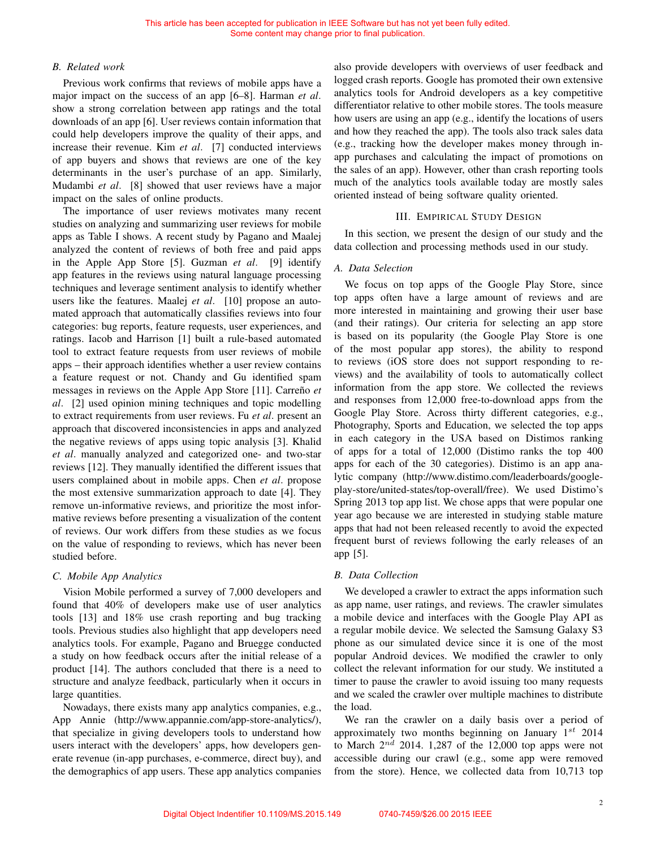# *B. Related work*

Previous work confirms that reviews of mobile apps have a major impact on the success of an app [6–8]. Harman *et al*. show a strong correlation between app ratings and the total downloads of an app [6]. User reviews contain information that could help developers improve the quality of their apps, and increase their revenue. Kim *et al*. [7] conducted interviews of app buyers and shows that reviews are one of the key determinants in the user's purchase of an app. Similarly, Mudambi *et al*. [8] showed that user reviews have a major impact on the sales of online products.

The importance of user reviews motivates many recent studies on analyzing and summarizing user reviews for mobile apps as Table I shows. A recent study by Pagano and Maalej analyzed the content of reviews of both free and paid apps in the Apple App Store [5]. Guzman *et al*. [9] identify app features in the reviews using natural language processing techniques and leverage sentiment analysis to identify whether users like the features. Maalej *et al*. [10] propose an automated approach that automatically classifies reviews into four categories: bug reports, feature requests, user experiences, and ratings. Iacob and Harrison [1] built a rule-based automated tool to extract feature requests from user reviews of mobile apps – their approach identifies whether a user review contains a feature request or not. Chandy and Gu identified spam messages in reviews on the Apple App Store [11]. Carreño *et al*. [2] used opinion mining techniques and topic modelling to extract requirements from user reviews. Fu *et al*. present an approach that discovered inconsistencies in apps and analyzed the negative reviews of apps using topic analysis [3]. Khalid *et al*. manually analyzed and categorized one- and two-star reviews [12]. They manually identified the different issues that users complained about in mobile apps. Chen *et al*. propose the most extensive summarization approach to date [4]. They remove un-informative reviews, and prioritize the most informative reviews before presenting a visualization of the content of reviews. Our work differs from these studies as we focus on the value of responding to reviews, which has never been studied before.

# *C. Mobile App Analytics*

Vision Mobile performed a survey of 7,000 developers and found that 40% of developers make use of user analytics tools [13] and 18% use crash reporting and bug tracking tools. Previous studies also highlight that app developers need analytics tools. For example, Pagano and Bruegge conducted a study on how feedback occurs after the initial release of a product [14]. The authors concluded that there is a need to structure and analyze feedback, particularly when it occurs in large quantities.

Nowadays, there exists many app analytics companies, e.g., App Annie (http://www.appannie.com/app-store-analytics/), that specialize in giving developers tools to understand how users interact with the developers' apps, how developers generate revenue (in-app purchases, e-commerce, direct buy), and the demographics of app users. These app analytics companies

also provide developers with overviews of user feedback and logged crash reports. Google has promoted their own extensive analytics tools for Android developers as a key competitive differentiator relative to other mobile stores. The tools measure how users are using an app (e.g., identify the locations of users and how they reached the app). The tools also track sales data (e.g., tracking how the developer makes money through inapp purchases and calculating the impact of promotions on the sales of an app). However, other than crash reporting tools much of the analytics tools available today are mostly sales oriented instead of being software quality oriented.

## III. EMPIRICAL STUDY DESIGN

In this section, we present the design of our study and the data collection and processing methods used in our study.

## *A. Data Selection*

We focus on top apps of the Google Play Store, since top apps often have a large amount of reviews and are more interested in maintaining and growing their user base (and their ratings). Our criteria for selecting an app store is based on its popularity (the Google Play Store is one of the most popular app stores), the ability to respond to reviews (iOS store does not support responding to reviews) and the availability of tools to automatically collect information from the app store. We collected the reviews and responses from 12,000 free-to-download apps from the Google Play Store. Across thirty different categories, e.g., Photography, Sports and Education, we selected the top apps in each category in the USA based on Distimos ranking of apps for a total of 12,000 (Distimo ranks the top 400 apps for each of the 30 categories). Distimo is an app analytic company (http://www.distimo.com/leaderboards/googleplay-store/united-states/top-overall/free). We used Distimo's Spring 2013 top app list. We chose apps that were popular one year ago because we are interested in studying stable mature apps that had not been released recently to avoid the expected frequent burst of reviews following the early releases of an app [5].

# *B. Data Collection*

We developed a crawler to extract the apps information such as app name, user ratings, and reviews. The crawler simulates a mobile device and interfaces with the Google Play API as a regular mobile device. We selected the Samsung Galaxy S3 phone as our simulated device since it is one of the most popular Android devices. We modified the crawler to only collect the relevant information for our study. We instituted a timer to pause the crawler to avoid issuing too many requests and we scaled the crawler over multiple machines to distribute the load.

We ran the crawler on a daily basis over a period of approximately two months beginning on January  $1^{st}$  2014 to March  $2^{nd}$  2014. 1,287 of the 12,000 top apps were not accessible during our crawl (e.g., some app were removed from the store). Hence, we collected data from 10,713 top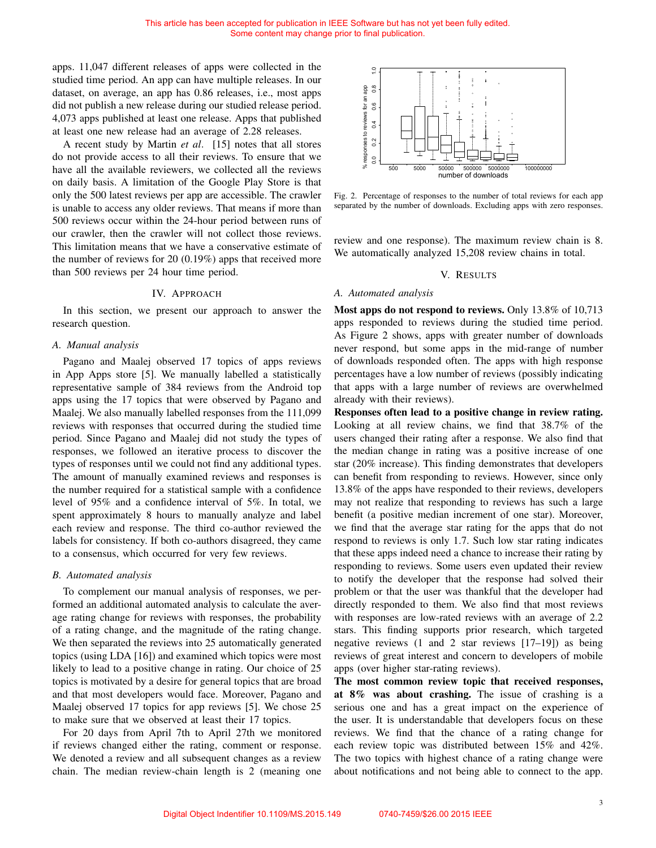apps. 11,047 different releases of apps were collected in the studied time period. An app can have multiple releases. In our dataset, on average, an app has 0.86 releases, i.e., most apps did not publish a new release during our studied release period. 4,073 apps published at least one release. Apps that published at least one new release had an average of 2.28 releases.

A recent study by Martin *et al*. [15] notes that all stores do not provide access to all their reviews. To ensure that we have all the available reviewers, we collected all the reviews on daily basis. A limitation of the Google Play Store is that only the 500 latest reviews per app are accessible. The crawler is unable to access any older reviews. That means if more than 500 reviews occur within the 24-hour period between runs of our crawler, then the crawler will not collect those reviews. This limitation means that we have a conservative estimate of the number of reviews for 20 (0.19%) apps that received more than 500 reviews per 24 hour time period.

#### IV. APPROACH

In this section, we present our approach to answer the research question.

#### *A. Manual analysis*

Pagano and Maalej observed 17 topics of apps reviews in App Apps store [5]. We manually labelled a statistically representative sample of 384 reviews from the Android top apps using the 17 topics that were observed by Pagano and Maalej. We also manually labelled responses from the 111,099 reviews with responses that occurred during the studied time period. Since Pagano and Maalej did not study the types of responses, we followed an iterative process to discover the types of responses until we could not find any additional types. The amount of manually examined reviews and responses is the number required for a statistical sample with a confidence level of 95% and a confidence interval of 5%. In total, we spent approximately 8 hours to manually analyze and label each review and response. The third co-author reviewed the labels for consistency. If both co-authors disagreed, they came to a consensus, which occurred for very few reviews.

#### *B. Automated analysis*

To complement our manual analysis of responses, we performed an additional automated analysis to calculate the average rating change for reviews with responses, the probability of a rating change, and the magnitude of the rating change. We then separated the reviews into 25 automatically generated topics (using LDA [16]) and examined which topics were most likely to lead to a positive change in rating. Our choice of 25 topics is motivated by a desire for general topics that are broad and that most developers would face. Moreover, Pagano and Maalej observed 17 topics for app reviews [5]. We chose 25 to make sure that we observed at least their 17 topics.

For 20 days from April 7th to April 27th we monitored if reviews changed either the rating, comment or response. We denoted a review and all subsequent changes as a review chain. The median review-chain length is 2 (meaning one



Fig. 2. Percentage of responses to the number of total reviews for each app separated by the number of downloads. Excluding apps with zero responses.

review and one response). The maximum review chain is 8. We automatically analyzed 15,208 review chains in total.

#### V. RESULTS

#### *A. Automated analysis*

Most apps do not respond to reviews. Only 13.8% of 10,713 apps responded to reviews during the studied time period. As Figure 2 shows, apps with greater number of downloads never respond, but some apps in the mid-range of number of downloads responded often. The apps with high response percentages have a low number of reviews (possibly indicating that apps with a large number of reviews are overwhelmed already with their reviews).

Responses often lead to a positive change in review rating. Looking at all review chains, we find that 38.7% of the users changed their rating after a response. We also find that the median change in rating was a positive increase of one star (20% increase). This finding demonstrates that developers can benefit from responding to reviews. However, since only 13.8% of the apps have responded to their reviews, developers may not realize that responding to reviews has such a large benefit (a positive median increment of one star). Moreover, we find that the average star rating for the apps that do not respond to reviews is only 1.7. Such low star rating indicates that these apps indeed need a chance to increase their rating by responding to reviews. Some users even updated their review to notify the developer that the response had solved their problem or that the user was thankful that the developer had directly responded to them. We also find that most reviews with responses are low-rated reviews with an average of 2.2 stars. This finding supports prior research, which targeted negative reviews (1 and 2 star reviews [17–19]) as being reviews of great interest and concern to developers of mobile apps (over higher star-rating reviews).

The most common review topic that received responses, at 8% was about crashing. The issue of crashing is a serious one and has a great impact on the experience of the user. It is understandable that developers focus on these reviews. We find that the chance of a rating change for each review topic was distributed between 15% and 42%. The two topics with highest chance of a rating change were about notifications and not being able to connect to the app.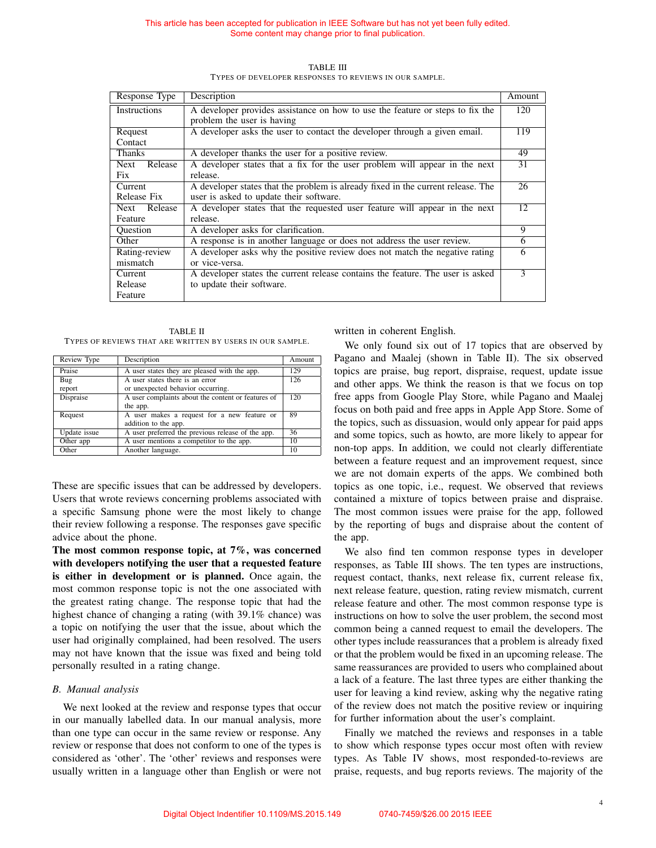| Response Type                                                                                                                                         | Description                                                                                                 |    |
|-------------------------------------------------------------------------------------------------------------------------------------------------------|-------------------------------------------------------------------------------------------------------------|----|
| Instructions                                                                                                                                          | A developer provides assistance on how to use the feature or steps to fix the<br>problem the user is having |    |
| Request<br>Contact                                                                                                                                    | A developer asks the user to contact the developer through a given email.                                   |    |
| <b>Thanks</b>                                                                                                                                         | A developer thanks the user for a positive review.                                                          | 49 |
| Release<br><b>Next</b><br><b>Fix</b>                                                                                                                  | A developer states that a fix for the user problem will appear in the next<br>release.                      | 31 |
| A developer states that the problem is already fixed in the current release. The<br>Current<br>user is asked to update their software.<br>Release Fix |                                                                                                             | 26 |
| Next Release<br>Feature                                                                                                                               | A developer states that the requested user feature will appear in the next<br>release.                      | 12 |
| A developer asks for clarification.<br>Question                                                                                                       |                                                                                                             | 9  |
| Other                                                                                                                                                 | A response is in another language or does not address the user review.                                      |    |
| A developer asks why the positive review does not match the negative rating<br>Rating-review<br>mismatch<br>or vice-versa.                            |                                                                                                             | 6  |
| A developer states the current release contains the feature. The user is asked<br>Current<br>to update their software.<br>Release<br>Feature          |                                                                                                             | 3  |

TABLE III TYPES OF DEVELOPER RESPONSES TO REVIEWS IN OUR SAMPLE.

TABLE II TYPES OF REVIEWS THAT ARE WRITTEN BY USERS IN OUR SAMPLE.

| Review Type  | Description                                        | Amount |
|--------------|----------------------------------------------------|--------|
| Praise       | A user states they are pleased with the app.       | 129    |
| Bug          | A user states there is an error                    | 126    |
| report       | or unexpected behavior occurring.                  |        |
| Dispraise    | A user complaints about the content or features of | 120    |
|              | the app.                                           |        |
| Request      | A user makes a request for a new feature or        | 89     |
|              | addition to the app.                               |        |
| Update issue | A user preferred the previous release of the app.  | 36     |
| Other app    | A user mentions a competitor to the app.           | 10     |
| Other        | Another language.                                  | 10     |

These are specific issues that can be addressed by developers. Users that wrote reviews concerning problems associated with a specific Samsung phone were the most likely to change their review following a response. The responses gave specific advice about the phone.

The most common response topic, at 7%, was concerned with developers notifying the user that a requested feature is either in development or is planned. Once again, the most common response topic is not the one associated with the greatest rating change. The response topic that had the highest chance of changing a rating (with 39.1% chance) was a topic on notifying the user that the issue, about which the user had originally complained, had been resolved. The users may not have known that the issue was fixed and being told personally resulted in a rating change.

# *B. Manual analysis*

We next looked at the review and response types that occur in our manually labelled data. In our manual analysis, more than one type can occur in the same review or response. Any review or response that does not conform to one of the types is considered as 'other'. The 'other' reviews and responses were usually written in a language other than English or were not written in coherent English.

We only found six out of 17 topics that are observed by Pagano and Maalej (shown in Table II). The six observed topics are praise, bug report, dispraise, request, update issue and other apps. We think the reason is that we focus on top free apps from Google Play Store, while Pagano and Maalej focus on both paid and free apps in Apple App Store. Some of the topics, such as dissuasion, would only appear for paid apps and some topics, such as howto, are more likely to appear for non-top apps. In addition, we could not clearly differentiate between a feature request and an improvement request, since we are not domain experts of the apps. We combined both topics as one topic, i.e., request. We observed that reviews contained a mixture of topics between praise and dispraise. The most common issues were praise for the app, followed by the reporting of bugs and dispraise about the content of the app.

We also find ten common response types in developer responses, as Table III shows. The ten types are instructions, request contact, thanks, next release fix, current release fix, next release feature, question, rating review mismatch, current release feature and other. The most common response type is instructions on how to solve the user problem, the second most common being a canned request to email the developers. The other types include reassurances that a problem is already fixed or that the problem would be fixed in an upcoming release. The same reassurances are provided to users who complained about a lack of a feature. The last three types are either thanking the user for leaving a kind review, asking why the negative rating of the review does not match the positive review or inquiring for further information about the user's complaint.

Finally we matched the reviews and responses in a table to show which response types occur most often with review types. As Table IV shows, most responded-to-reviews are praise, requests, and bug reports reviews. The majority of the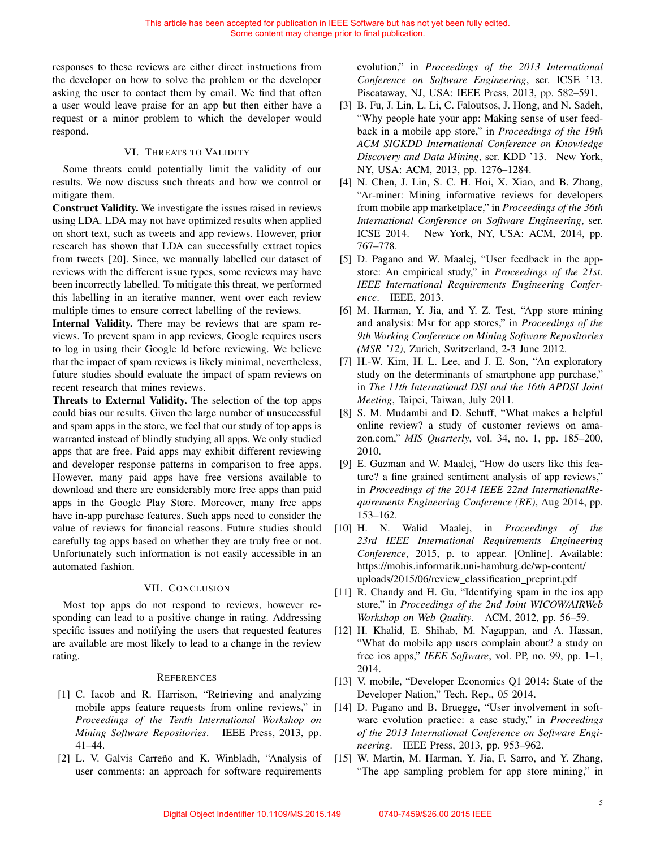responses to these reviews are either direct instructions from the developer on how to solve the problem or the developer asking the user to contact them by email. We find that often a user would leave praise for an app but then either have a request or a minor problem to which the developer would respond.

# VI. THREATS TO VALIDITY

Some threats could potentially limit the validity of our results. We now discuss such threats and how we control or mitigate them.

Construct Validity. We investigate the issues raised in reviews using LDA. LDA may not have optimized results when applied on short text, such as tweets and app reviews. However, prior research has shown that LDA can successfully extract topics from tweets [20]. Since, we manually labelled our dataset of reviews with the different issue types, some reviews may have been incorrectly labelled. To mitigate this threat, we performed this labelling in an iterative manner, went over each review multiple times to ensure correct labelling of the reviews.

Internal Validity. There may be reviews that are spam reviews. To prevent spam in app reviews, Google requires users to log in using their Google Id before reviewing. We believe that the impact of spam reviews is likely minimal, nevertheless, future studies should evaluate the impact of spam reviews on recent research that mines reviews.

Threats to External Validity. The selection of the top apps could bias our results. Given the large number of unsuccessful and spam apps in the store, we feel that our study of top apps is warranted instead of blindly studying all apps. We only studied apps that are free. Paid apps may exhibit different reviewing and developer response patterns in comparison to free apps. However, many paid apps have free versions available to download and there are considerably more free apps than paid apps in the Google Play Store. Moreover, many free apps have in-app purchase features. Such apps need to consider the value of reviews for financial reasons. Future studies should carefully tag apps based on whether they are truly free or not. Unfortunately such information is not easily accessible in an automated fashion.

# VII. CONCLUSION

Most top apps do not respond to reviews, however responding can lead to a positive change in rating. Addressing specific issues and notifying the users that requested features are available are most likely to lead to a change in the review rating.

# **REFERENCES**

- [1] C. Iacob and R. Harrison, "Retrieving and analyzing mobile apps feature requests from online reviews," in *Proceedings of the Tenth International Workshop on Mining Software Repositories*. IEEE Press, 2013, pp. 41–44.
- [2] L. V. Galvis Carreño and K. Winbladh, "Analysis of user comments: an approach for software requirements

evolution," in *Proceedings of the 2013 International Conference on Software Engineering*, ser. ICSE '13. Piscataway, NJ, USA: IEEE Press, 2013, pp. 582–591.

- [3] B. Fu, J. Lin, L. Li, C. Faloutsos, J. Hong, and N. Sadeh, "Why people hate your app: Making sense of user feedback in a mobile app store," in *Proceedings of the 19th ACM SIGKDD International Conference on Knowledge Discovery and Data Mining*, ser. KDD '13. New York, NY, USA: ACM, 2013, pp. 1276–1284.
- [4] N. Chen, J. Lin, S. C. H. Hoi, X. Xiao, and B. Zhang, "Ar-miner: Mining informative reviews for developers from mobile app marketplace," in *Proceedings of the 36th International Conference on Software Engineering*, ser. ICSE 2014. New York, NY, USA: ACM, 2014, pp. 767–778.
- [5] D. Pagano and W. Maalej, "User feedback in the appstore: An empirical study," in *Proceedings of the 21st. IEEE International Requirements Engineering Conference*. IEEE, 2013.
- [6] M. Harman, Y. Jia, and Y. Z. Test, "App store mining and analysis: Msr for app stores," in *Proceedings of the 9th Working Conference on Mining Software Repositories (MSR '12)*, Zurich, Switzerland, 2-3 June 2012.
- [7] H.-W. Kim, H. L. Lee, and J. E. Son, "An exploratory study on the determinants of smartphone app purchase," in *The 11th International DSI and the 16th APDSI Joint Meeting*, Taipei, Taiwan, July 2011.
- [8] S. M. Mudambi and D. Schuff, "What makes a helpful online review? a study of customer reviews on amazon.com," *MIS Quarterly*, vol. 34, no. 1, pp. 185–200, 2010.
- [9] E. Guzman and W. Maalej, "How do users like this feature? a fine grained sentiment analysis of app reviews," in *Proceedings of the 2014 IEEE 22nd InternationalRequirements Engineering Conference (RE)*, Aug 2014, pp. 153–162.
- [10] H. N. Walid Maalej, in *Proceedings of the 23rd IEEE International Requirements Engineering Conference*, 2015, p. to appear. [Online]. Available: https://mobis.informatik.uni-hamburg.de/wp-content/ uploads/2015/06/review classification preprint.pdf
- [11] R. Chandy and H. Gu, "Identifying spam in the ios app store," in *Proceedings of the 2nd Joint WICOW/AIRWeb Workshop on Web Quality*. ACM, 2012, pp. 56–59.
- [12] H. Khalid, E. Shihab, M. Nagappan, and A. Hassan, "What do mobile app users complain about? a study on free ios apps," *IEEE Software*, vol. PP, no. 99, pp. 1–1, 2014.
- [13] V. mobile, "Developer Economics Q1 2014: State of the Developer Nation," Tech. Rep., 05 2014.
- [14] D. Pagano and B. Bruegge, "User involvement in software evolution practice: a case study," in *Proceedings of the 2013 International Conference on Software Engineering*. IEEE Press, 2013, pp. 953–962.
- [15] W. Martin, M. Harman, Y. Jia, F. Sarro, and Y. Zhang, "The app sampling problem for app store mining," in